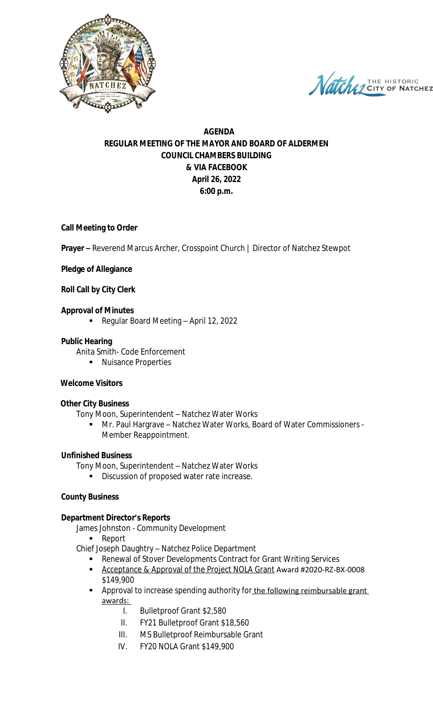

Natche 7 THE HISTORIC **NATCHEZ** 

# **AGENDA REGULAR MEETING OF THE MAYOR AND BOARD OF ALDERMEN COUNCIL CHAMBERS BUILDING & VIA FACEBOOK April 26, 2022 6:00 p.m.**

### **Call Meeting to Order**

**Prayer –** Reverend Marcus Archer, Crosspoint Church | Director of Natchez Stewpot

#### **Pledge of Allegiance**

#### **Roll Call by City Clerk**

#### **Approval of Minutes**

Regular Board Meeting – April 12, 2022

#### **Public Hearing**

- Anita Smith- Code Enforcement
	- **Nuisance Properties**

#### **Welcome Visitors**

#### **Other City Business**

Tony Moon, Superintendent – Natchez Water Works

 Mr. Paul Hargrave – Natchez Water Works, Board of Water Commissioners - Member Reappointment.

#### **Unfinished Business**

Tony Moon, Superintendent – Natchez Water Works

**Discussion of proposed water rate increase.** 

#### **County Business**

#### **Department Director's Reports**

James Johnston - Community Development

- Report
- Chief Joseph Daughtry Natchez Police Department
	- **Renewal of Stover Developments Contract for Grant Writing Services**
	- Acceptance & Approval of the Project NOLA Grant Award #2020-RZ-BX-0008 \$149,900
	- **Approval to increase spending authority for the following reimbursable grant** awards:
		- I. Bulletproof Grant \$2,580
		- II. FY21 Bulletproof Grant \$18,560
		- III. MS Bulletproof Reimbursable Grant
		- IV. FY20 NOLA Grant \$149,900